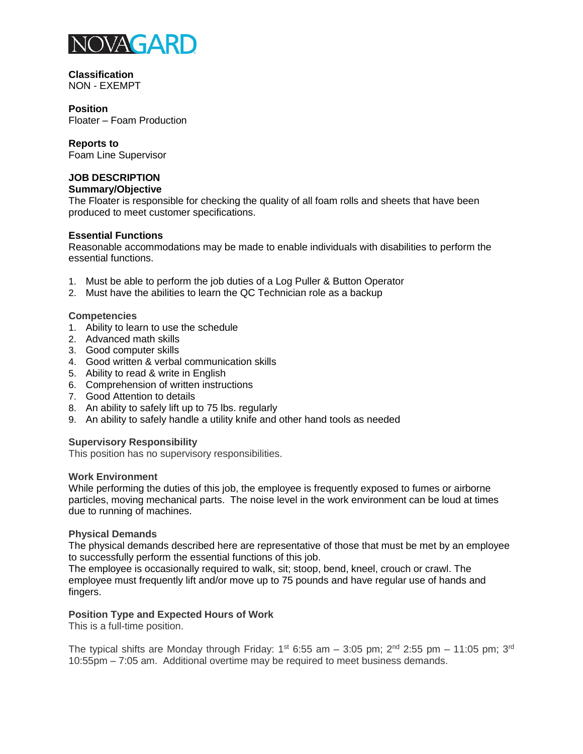

#### **Classification** NON - EXEMPT

### **Position**

Floater – Foam Production

# **Reports to**

Foam Line Supervisor

# **JOB DESCRIPTION**

# **Summary/Objective**

The Floater is responsible for checking the quality of all foam rolls and sheets that have been produced to meet customer specifications.

# **Essential Functions**

Reasonable accommodations may be made to enable individuals with disabilities to perform the essential functions.

- 1. Must be able to perform the job duties of a Log Puller & Button Operator
- 2. Must have the abilities to learn the QC Technician role as a backup

# **Competencies**

- 1. Ability to learn to use the schedule
- 2. Advanced math skills
- 3. Good computer skills
- 4. Good written & verbal communication skills
- 5. Ability to read & write in English
- 6. Comprehension of written instructions
- 7. Good Attention to details
- 8. An ability to safely lift up to 75 lbs. regularly
- 9. An ability to safely handle a utility knife and other hand tools as needed

# **Supervisory Responsibility**

This position has no supervisory responsibilities.

### **Work Environment**

While performing the duties of this job, the employee is frequently exposed to fumes or airborne particles, moving mechanical parts. The noise level in the work environment can be loud at times due to running of machines.

### **Physical Demands**

The physical demands described here are representative of those that must be met by an employee to successfully perform the essential functions of this job.

The employee is occasionally required to walk, sit; stoop, bend, kneel, crouch or crawl. The employee must frequently lift and/or move up to 75 pounds and have regular use of hands and fingers.

# **Position Type and Expected Hours of Work**

This is a full-time position.

The typical shifts are Monday through Friday:  $1^{st}$  6:55 am - 3:05 pm;  $2^{nd}$  2:55 pm - 11:05 pm;  $3^{rd}$ 10:55pm – 7:05 am. Additional overtime may be required to meet business demands.